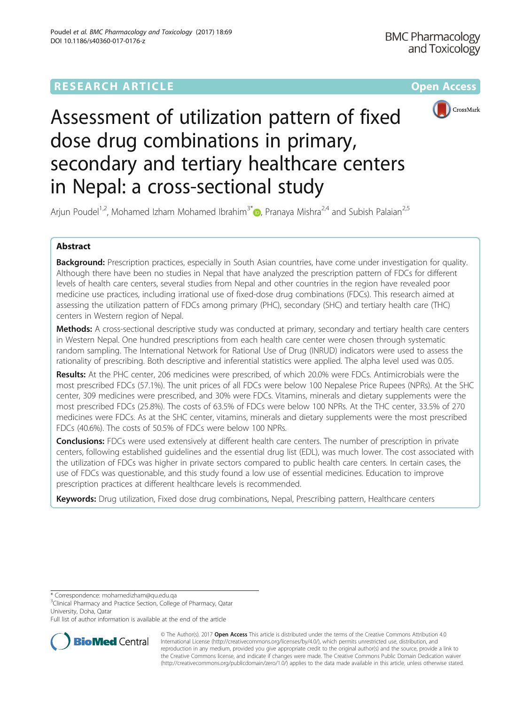## **RESEARCH ARTICLE Example 2014 12:30 The Contract of Contract Article 2014**



# Assessment of utilization pattern of fixed dose drug combinations in primary, secondary and tertiary healthcare centers in Nepal: a cross-sectional study

Arjun Poudel<sup>1[,](http://orcid.org/0000-0001-9757-3574)2</sup>, Mohamed Izham Mohamed Ibrahim<sup>3\*</sup> <sub>(b)</sub> Pranaya Mishra<sup>2,4</sup> and Subish Palaian<sup>2,5</sup>

## Abstract

Background: Prescription practices, especially in South Asian countries, have come under investigation for quality. Although there have been no studies in Nepal that have analyzed the prescription pattern of FDCs for different levels of health care centers, several studies from Nepal and other countries in the region have revealed poor medicine use practices, including irrational use of fixed-dose drug combinations (FDCs). This research aimed at assessing the utilization pattern of FDCs among primary (PHC), secondary (SHC) and tertiary health care (THC) centers in Western region of Nepal.

Methods: A cross-sectional descriptive study was conducted at primary, secondary and tertiary health care centers in Western Nepal. One hundred prescriptions from each health care center were chosen through systematic random sampling. The International Network for Rational Use of Drug (INRUD) indicators were used to assess the rationality of prescribing. Both descriptive and inferential statistics were applied. The alpha level used was 0.05.

Results: At the PHC center, 206 medicines were prescribed, of which 20.0% were FDCs. Antimicrobials were the most prescribed FDCs (57.1%). The unit prices of all FDCs were below 100 Nepalese Price Rupees (NPRs). At the SHC center, 309 medicines were prescribed, and 30% were FDCs. Vitamins, minerals and dietary supplements were the most prescribed FDCs (25.8%). The costs of 63.5% of FDCs were below 100 NPRs. At the THC center, 33.5% of 270 medicines were FDCs. As at the SHC center, vitamins, minerals and dietary supplements were the most prescribed FDCs (40.6%). The costs of 50.5% of FDCs were below 100 NPRs.

**Conclusions:** FDCs were used extensively at different health care centers. The number of prescription in private centers, following established guidelines and the essential drug list (EDL), was much lower. The cost associated with the utilization of FDCs was higher in private sectors compared to public health care centers. In certain cases, the use of FDCs was questionable, and this study found a low use of essential medicines. Education to improve prescription practices at different healthcare levels is recommended.

Keywords: Drug utilization, Fixed dose drug combinations, Nepal, Prescribing pattern, Healthcare centers

\* Correspondence: [mohamedizham@qu.edu.qa](mailto:mohamedizham@qu.edu.qa) <sup>3</sup>

<sup>3</sup>Clinical Pharmacy and Practice Section, College of Pharmacy, Qatar University, Doha, Qatar

Full list of author information is available at the end of the article



© The Author(s). 2017 **Open Access** This article is distributed under the terms of the Creative Commons Attribution 4.0 International License [\(http://creativecommons.org/licenses/by/4.0/](http://creativecommons.org/licenses/by/4.0/)), which permits unrestricted use, distribution, and reproduction in any medium, provided you give appropriate credit to the original author(s) and the source, provide a link to the Creative Commons license, and indicate if changes were made. The Creative Commons Public Domain Dedication waiver [\(http://creativecommons.org/publicdomain/zero/1.0/](http://creativecommons.org/publicdomain/zero/1.0/)) applies to the data made available in this article, unless otherwise stated.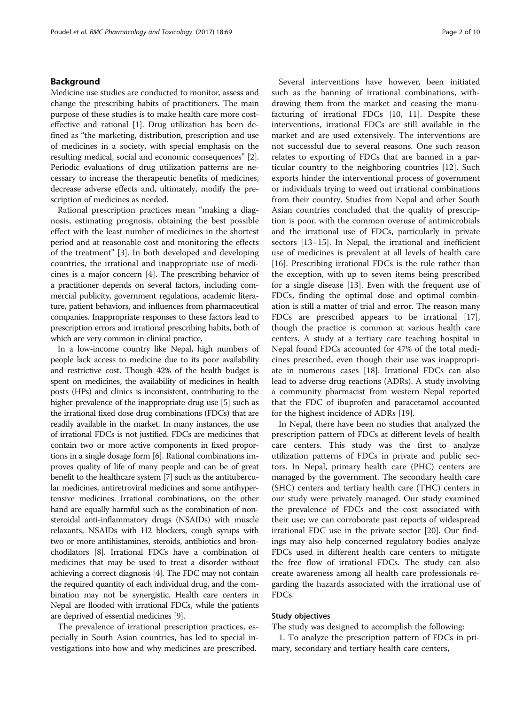## Background

Medicine use studies are conducted to monitor, assess and change the prescribing habits of practitioners. The main purpose of these studies is to make health care more costeffective and rational [[1](#page-9-0)]. Drug utilization has been defined as "the marketing, distribution, prescription and use of medicines in a society, with special emphasis on the resulting medical, social and economic consequences" [[2](#page-9-0)]. Periodic evaluations of drug utilization patterns are necessary to increase the therapeutic benefits of medicines, decrease adverse effects and, ultimately, modify the prescription of medicines as needed.

Rational prescription practices mean "making a diagnosis, estimating prognosis, obtaining the best possible effect with the least number of medicines in the shortest period and at reasonable cost and monitoring the effects of the treatment" [[3\]](#page-9-0). In both developed and developing countries, the irrational and inappropriate use of medicines is a major concern [\[4](#page-9-0)]. The prescribing behavior of a practitioner depends on several factors, including commercial publicity, government regulations, academic literature, patient behaviors, and influences from pharmaceutical companies. Inappropriate responses to these factors lead to prescription errors and irrational prescribing habits, both of which are very common in clinical practice.

In a low-income country like Nepal, high numbers of people lack access to medicine due to its poor availability and restrictive cost. Though 42% of the health budget is spent on medicines, the availability of medicines in health posts (HPs) and clinics is inconsistent, contributing to the higher prevalence of the inappropriate drug use [[5](#page-9-0)] such as the irrational fixed dose drug combinations (FDCs) that are readily available in the market. In many instances, the use of irrational FDCs is not justified. FDCs are medicines that contain two or more active components in fixed proportions in a single dosage form [\[6\]](#page-9-0). Rational combinations improves quality of life of many people and can be of great benefit to the healthcare system [\[7\]](#page-9-0) such as the antitubercular medicines, antiretroviral medicines and some antihypertensive medicines. Irrational combinations, on the other hand are equally harmful such as the combination of nonsteroidal anti-inflammatory drugs (NSAIDs) with muscle relaxants, NSAIDs with H2 blockers, cough syrups with two or more antihistamines, steroids, antibiotics and bronchodilators [[8](#page-9-0)]. Irrational FDCs have a combination of medicines that may be used to treat a disorder without achieving a correct diagnosis [[4](#page-9-0)]. The FDC may not contain the required quantity of each individual drug, and the combination may not be synergistic. Health care centers in Nepal are flooded with irrational FDCs, while the patients are deprived of essential medicines [\[9\]](#page-9-0).

The prevalence of irrational prescription practices, especially in South Asian countries, has led to special investigations into how and why medicines are prescribed.

Several interventions have however, been initiated such as the banning of irrational combinations, withdrawing them from the market and ceasing the manufacturing of irrational FDCs [[10](#page-9-0), [11](#page-9-0)]. Despite these interventions, irrational FDCs are still available in the market and are used extensively. The interventions are not successful due to several reasons. One such reason relates to exporting of FDCs that are banned in a particular country to the neighboring countries [\[12\]](#page-9-0). Such exports hinder the interventional process of government or individuals trying to weed out irrational combinations from their country. Studies from Nepal and other South Asian countries concluded that the quality of prescription is poor, with the common overuse of antimicrobials and the irrational use of FDCs, particularly in private sectors [[13](#page-9-0)–[15](#page-9-0)]. In Nepal, the irrational and inefficient use of medicines is prevalent at all levels of health care [[16\]](#page-9-0). Prescribing irrational FDCs is the rule rather than the exception, with up to seven items being prescribed for a single disease [\[13](#page-9-0)]. Even with the frequent use of FDCs, finding the optimal dose and optimal combination is still a matter of trial and error. The reason many FDCs are prescribed appears to be irrational [\[17](#page-9-0)], though the practice is common at various health care centers. A study at a tertiary care teaching hospital in Nepal found FDCs accounted for 47% of the total medicines prescribed, even though their use was inappropriate in numerous cases [\[18\]](#page-9-0). Irrational FDCs can also lead to adverse drug reactions (ADRs). A study involving a community pharmacist from western Nepal reported that the FDC of ibuprofen and paracetamol accounted for the highest incidence of ADRs [\[19\]](#page-9-0).

In Nepal, there have been no studies that analyzed the prescription pattern of FDCs at different levels of health care centers. This study was the first to analyze utilization patterns of FDCs in private and public sectors. In Nepal, primary health care (PHC) centers are managed by the government. The secondary health care (SHC) centers and tertiary health care (THC) centers in our study were privately managed. Our study examined the prevalence of FDCs and the cost associated with their use; we can corroborate past reports of widespread irrational FDC use in the private sector [\[20](#page-9-0)]. Our findings may also help concerned regulatory bodies analyze FDCs used in different health care centers to mitigate the free flow of irrational FDCs. The study can also create awareness among all health care professionals regarding the hazards associated with the irrational use of FDCs.

## Study objectives

The study was designed to accomplish the following:

1. To analyze the prescription pattern of FDCs in primary, secondary and tertiary health care centers,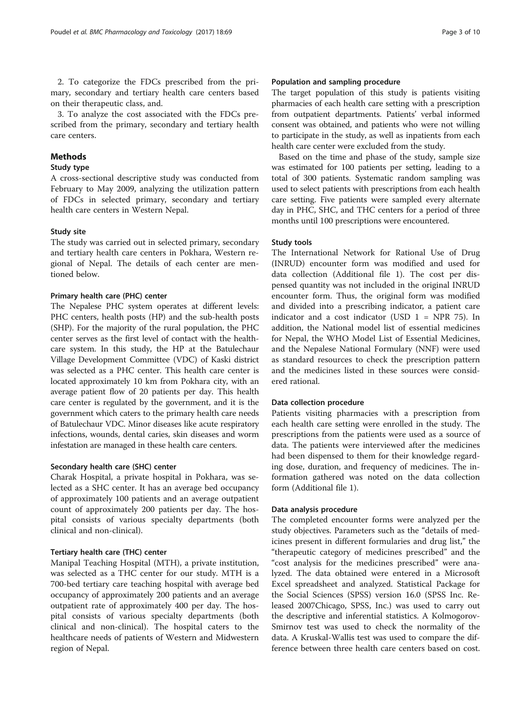2. To categorize the FDCs prescribed from the primary, secondary and tertiary health care centers based on their therapeutic class, and.

3. To analyze the cost associated with the FDCs prescribed from the primary, secondary and tertiary health care centers.

## Methods

## Study type

A cross-sectional descriptive study was conducted from February to May 2009, analyzing the utilization pattern of FDCs in selected primary, secondary and tertiary health care centers in Western Nepal.

#### Study site

The study was carried out in selected primary, secondary and tertiary health care centers in Pokhara, Western regional of Nepal. The details of each center are mentioned below.

## Primary health care (PHC) center

The Nepalese PHC system operates at different levels: PHC centers, health posts (HP) and the sub-health posts (SHP). For the majority of the rural population, the PHC center serves as the first level of contact with the healthcare system. In this study, the HP at the Batulechaur Village Development Committee (VDC) of Kaski district was selected as a PHC center. This health care center is located approximately 10 km from Pokhara city, with an average patient flow of 20 patients per day. This health care center is regulated by the government, and it is the government which caters to the primary health care needs of Batulechaur VDC. Minor diseases like acute respiratory infections, wounds, dental caries, skin diseases and worm infestation are managed in these health care centers.

#### Secondary health care (SHC) center

Charak Hospital, a private hospital in Pokhara, was selected as a SHC center. It has an average bed occupancy of approximately 100 patients and an average outpatient count of approximately 200 patients per day. The hospital consists of various specialty departments (both clinical and non-clinical).

## Tertiary health care (THC) center

Manipal Teaching Hospital (MTH), a private institution, was selected as a THC center for our study. MTH is a 700-bed tertiary care teaching hospital with average bed occupancy of approximately 200 patients and an average outpatient rate of approximately 400 per day. The hospital consists of various specialty departments (both clinical and non-clinical). The hospital caters to the healthcare needs of patients of Western and Midwestern region of Nepal.

## Population and sampling procedure

The target population of this study is patients visiting pharmacies of each health care setting with a prescription from outpatient departments. Patients' verbal informed consent was obtained, and patients who were not willing to participate in the study, as well as inpatients from each health care center were excluded from the study.

Based on the time and phase of the study, sample size was estimated for 100 patients per setting, leading to a total of 300 patients. Systematic random sampling was used to select patients with prescriptions from each health care setting. Five patients were sampled every alternate day in PHC, SHC, and THC centers for a period of three months until 100 prescriptions were encountered.

#### Study tools

The International Network for Rational Use of Drug (INRUD) encounter form was modified and used for data collection (Additional file [1\)](#page-8-0). The cost per dispensed quantity was not included in the original INRUD encounter form. Thus, the original form was modified and divided into a prescribing indicator, a patient care indicator and a cost indicator (USD 1 = NPR 75). In addition, the National model list of essential medicines for Nepal, the WHO Model List of Essential Medicines, and the Nepalese National Formulary (NNF) were used as standard resources to check the prescription pattern and the medicines listed in these sources were considered rational.

## Data collection procedure

Patients visiting pharmacies with a prescription from each health care setting were enrolled in the study. The prescriptions from the patients were used as a source of data. The patients were interviewed after the medicines had been dispensed to them for their knowledge regarding dose, duration, and frequency of medicines. The information gathered was noted on the data collection form (Additional file [1\)](#page-8-0).

#### Data analysis procedure

The completed encounter forms were analyzed per the study objectives. Parameters such as the "details of medicines present in different formularies and drug list," the "therapeutic category of medicines prescribed" and the "cost analysis for the medicines prescribed" were analyzed. The data obtained were entered in a Microsoft Excel spreadsheet and analyzed. Statistical Package for the Social Sciences (SPSS) version 16.0 (SPSS Inc. Released 2007Chicago, SPSS, Inc.) was used to carry out the descriptive and inferential statistics. A Kolmogorov-Smirnov test was used to check the normality of the data. A Kruskal-Wallis test was used to compare the difference between three health care centers based on cost.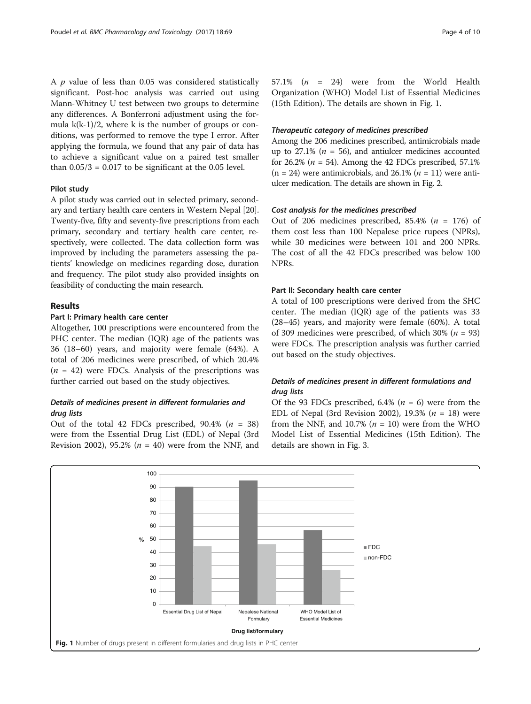A  $p$  value of less than 0.05 was considered statistically significant. Post-hoc analysis was carried out using Mann-Whitney U test between two groups to determine any differences. A Bonferroni adjustment using the formula  $k(k-1)/2$ , where k is the number of groups or conditions, was performed to remove the type I error. After applying the formula, we found that any pair of data has to achieve a significant value on a paired test smaller than  $0.05/3 = 0.017$  to be significant at the 0.05 level.

#### Pilot study

A pilot study was carried out in selected primary, secondary and tertiary health care centers in Western Nepal [[20](#page-9-0)]. Twenty-five, fifty and seventy-five prescriptions from each primary, secondary and tertiary health care center, respectively, were collected. The data collection form was improved by including the parameters assessing the patients' knowledge on medicines regarding dose, duration and frequency. The pilot study also provided insights on feasibility of conducting the main research.

## Results

### Part I: Primary health care center

Altogether, 100 prescriptions were encountered from the PHC center. The median (IQR) age of the patients was 36 (18–60) years, and majority were female (64%). A total of 206 medicines were prescribed, of which 20.4%  $(n = 42)$  were FDCs. Analysis of the prescriptions was further carried out based on the study objectives.

## Details of medicines present in different formularies and drug lists

Out of the total 42 FDCs prescribed,  $90.4\%$  ( $n = 38$ ) were from the Essential Drug List (EDL) of Nepal (3rd Revision 2002), 95.2% ( $n = 40$ ) were from the NNF, and 57.1%  $(n = 24)$  were from the World Health Organization (WHO) Model List of Essential Medicines (15th Edition). The details are shown in Fig. 1.

#### Therapeutic category of medicines prescribed

Among the 206 medicines prescribed, antimicrobials made up to 27.1% ( $n = 56$ ), and antiulcer medicines accounted for 26.2% ( $n = 54$ ). Among the 42 FDCs prescribed, 57.1%  $(n = 24)$  were antimicrobials, and 26.1%  $(n = 11)$  were antiulcer medication. The details are shown in Fig. [2.](#page-4-0)

#### Cost analysis for the medicines prescribed

Out of 206 medicines prescribed, 85.4% ( $n = 176$ ) of them cost less than 100 Nepalese price rupees (NPRs), while 30 medicines were between 101 and 200 NPRs. The cost of all the 42 FDCs prescribed was below 100 NPRs.

#### Part II: Secondary health care center

A total of 100 prescriptions were derived from the SHC center. The median (IQR) age of the patients was 33 (28–45) years, and majority were female (60%). A total of 309 medicines were prescribed, of which 30% ( $n = 93$ ) were FDCs. The prescription analysis was further carried out based on the study objectives.

## Details of medicines present in different formulations and drug lists

Of the 93 FDCs prescribed, 6.4% ( $n = 6$ ) were from the EDL of Nepal (3rd Revision 2002), 19.3% ( $n = 18$ ) were from the NNF, and 10.7% ( $n = 10$ ) were from the WHO Model List of Essential Medicines (15th Edition). The details are shown in Fig. [3.](#page-4-0)

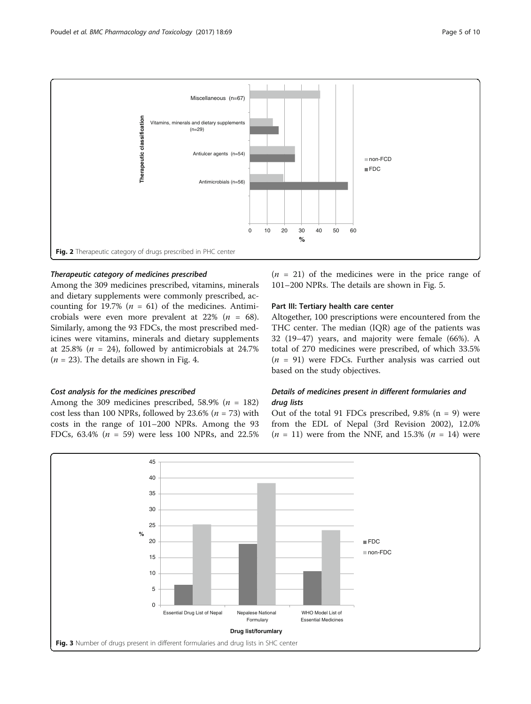

<span id="page-4-0"></span>

## Therapeutic category of medicines prescribed

Among the 309 medicines prescribed, vitamins, minerals and dietary supplements were commonly prescribed, accounting for 19.7% ( $n = 61$ ) of the medicines. Antimicrobials were even more prevalent at 22% ( $n = 68$ ). Similarly, among the 93 FDCs, the most prescribed medicines were vitamins, minerals and dietary supplements at 25.8% ( $n = 24$ ), followed by antimicrobials at 24.7%  $(n = 23)$ . The details are shown in Fig. [4](#page-5-0).

### Cost analysis for the medicines prescribed

Among the 309 medicines prescribed, 58.9% ( $n = 182$ ) cost less than 100 NPRs, followed by 23.6% ( $n = 73$ ) with costs in the range of 101–200 NPRs. Among the 93 FDCs, 63.4% ( $n = 59$ ) were less 100 NPRs, and 22.5%  $(n = 21)$  of the medicines were in the price range of 101–200 NPRs. The details are shown in Fig. [5](#page-5-0).

## Part III: Tertiary health care center

Altogether, 100 prescriptions were encountered from the THC center. The median (IQR) age of the patients was 32 (19–47) years, and majority were female (66%). A total of 270 medicines were prescribed, of which 33.5%  $(n = 91)$  were FDCs. Further analysis was carried out based on the study objectives.

## Details of medicines present in different formularies and drug lists

Out of the total 91 FDCs prescribed,  $9.8\%$  (n = 9) were from the EDL of Nepal (3rd Revision 2002), 12.0%  $(n = 11)$  were from the NNF, and 15.3%  $(n = 14)$  were

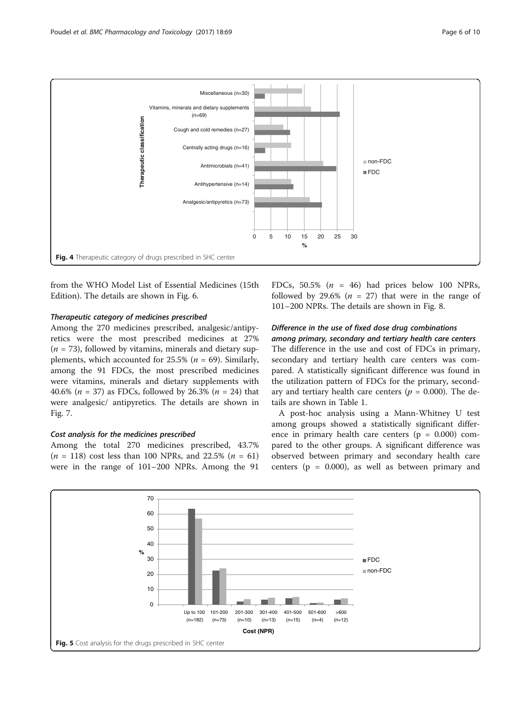<span id="page-5-0"></span>

from the WHO Model List of Essential Medicines (15th Edition). The details are shown in Fig. [6.](#page-6-0)

#### Therapeutic category of medicines prescribed

Among the 270 medicines prescribed, analgesic/antipyretics were the most prescribed medicines at 27%  $(n = 73)$ , followed by vitamins, minerals and dietary supplements, which accounted for  $25.5\%$  ( $n = 69$ ). Similarly, among the 91 FDCs, the most prescribed medicines were vitamins, minerals and dietary supplements with 40.6% ( $n = 37$ ) as FDCs, followed by 26.3% ( $n = 24$ ) that were analgesic/ antipyretics. The details are shown in Fig. [7](#page-6-0).

### Cost analysis for the medicines prescribed

Among the total 270 medicines prescribed, 43.7%  $(n = 118)$  cost less than 100 NPRs, and 22.5%  $(n = 61)$ were in the range of 101–200 NPRs. Among the 91

FDCs,  $50.5\%$  ( $n = 46$ ) had prices below 100 NPRs, followed by 29.6% ( $n = 27$ ) that were in the range of 101–200 NPRs. The details are shown in Fig. [8](#page-7-0).

## Difference in the use of fixed dose drug combinations among primary, secondary and tertiary health care centers

The difference in the use and cost of FDCs in primary, secondary and tertiary health care centers was compared. A statistically significant difference was found in the utilization pattern of FDCs for the primary, secondary and tertiary health care centers ( $p = 0.000$ ). The details are shown in Table [1.](#page-7-0)

A post-hoc analysis using a Mann-Whitney U test among groups showed a statistically significant difference in primary health care centers  $(p = 0.000)$  compared to the other groups. A significant difference was observed between primary and secondary health care centers ( $p = 0.000$ ), as well as between primary and

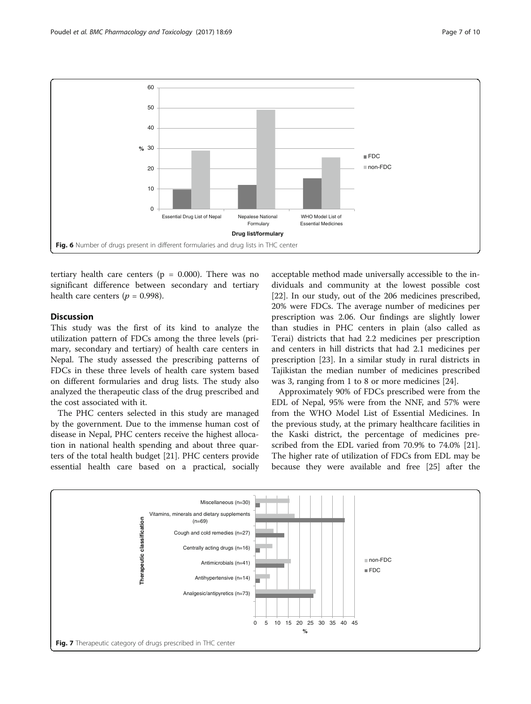<span id="page-6-0"></span>

tertiary health care centers ( $p = 0.000$ ). There was no significant difference between secondary and tertiary health care centers ( $p = 0.998$ ).

## Discussion

This study was the first of its kind to analyze the utilization pattern of FDCs among the three levels (primary, secondary and tertiary) of health care centers in Nepal. The study assessed the prescribing patterns of FDCs in these three levels of health care system based on different formularies and drug lists. The study also analyzed the therapeutic class of the drug prescribed and the cost associated with it.

The PHC centers selected in this study are managed by the government. Due to the immense human cost of disease in Nepal, PHC centers receive the highest allocation in national health spending and about three quarters of the total health budget [\[21](#page-9-0)]. PHC centers provide essential health care based on a practical, socially

acceptable method made universally accessible to the individuals and community at the lowest possible cost [[22\]](#page-9-0). In our study, out of the 206 medicines prescribed, 20% were FDCs. The average number of medicines per prescription was 2.06. Our findings are slightly lower than studies in PHC centers in plain (also called as Terai) districts that had 2.2 medicines per prescription and centers in hill districts that had 2.1 medicines per prescription [\[23\]](#page-9-0). In a similar study in rural districts in Tajikistan the median number of medicines prescribed was 3, ranging from 1 to 8 or more medicines [\[24](#page-9-0)].

Approximately 90% of FDCs prescribed were from the EDL of Nepal, 95% were from the NNF, and 57% were from the WHO Model List of Essential Medicines. In the previous study, at the primary healthcare facilities in the Kaski district, the percentage of medicines prescribed from the EDL varied from 70.9% to 74.0% [\[21](#page-9-0)]. The higher rate of utilization of FDCs from EDL may be because they were available and free [\[25\]](#page-9-0) after the

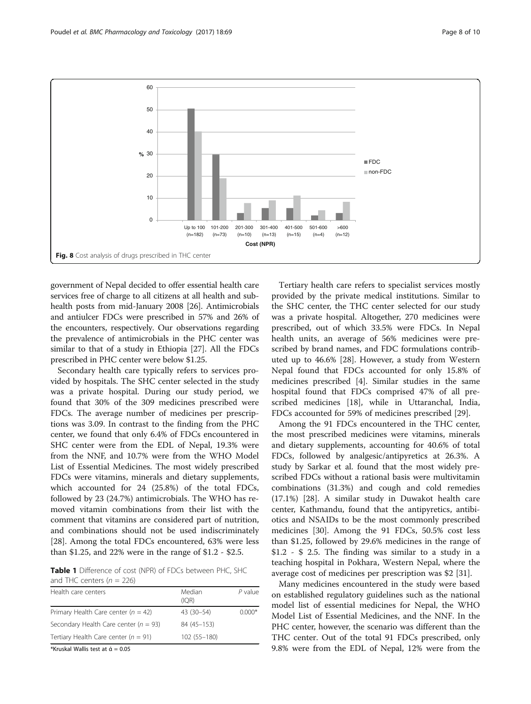<span id="page-7-0"></span>

government of Nepal decided to offer essential health care services free of charge to all citizens at all health and subhealth posts from mid-January 2008 [[26](#page-9-0)]. Antimicrobials and antiulcer FDCs were prescribed in 57% and 26% of the encounters, respectively. Our observations regarding the prevalence of antimicrobials in the PHC center was similar to that of a study in Ethiopia [[27](#page-9-0)]. All the FDCs prescribed in PHC center were below \$1.25.

Secondary health care typically refers to services provided by hospitals. The SHC center selected in the study was a private hospital. During our study period, we found that 30% of the 309 medicines prescribed were FDCs. The average number of medicines per prescriptions was 3.09. In contrast to the finding from the PHC center, we found that only 6.4% of FDCs encountered in SHC center were from the EDL of Nepal, 19.3% were from the NNF, and 10.7% were from the WHO Model List of Essential Medicines. The most widely prescribed FDCs were vitamins, minerals and dietary supplements, which accounted for 24 (25.8%) of the total FDCs, followed by 23 (24.7%) antimicrobials. The WHO has removed vitamin combinations from their list with the comment that vitamins are considered part of nutrition, and combinations should not be used indiscriminately [[28\]](#page-9-0). Among the total FDCs encountered, 63% were less than \$1.25, and 22% were in the range of \$1.2 - \$2.5.

Table 1 Difference of cost (NPR) of FDCs between PHC, SHC and THC centers  $(n = 226)$ 

| Health care centers                       | Median<br>(IOR) | $P$ value |
|-------------------------------------------|-----------------|-----------|
| Primary Health Care center ( $n = 42$ )   | 43 (30-54)      | $0.000*$  |
| Secondary Health Care center ( $n = 93$ ) | 84 (45 - 153)   |           |
| Tertiary Health Care center ( $n = 91$ )  | 102 (55-180)    |           |
|                                           |                 |           |

\*Kruskal Wallis test at  $\dot{\alpha} = 0.05$ 

Tertiary health care refers to specialist services mostly provided by the private medical institutions. Similar to the SHC center, the THC center selected for our study was a private hospital. Altogether, 270 medicines were prescribed, out of which 33.5% were FDCs. In Nepal health units, an average of 56% medicines were prescribed by brand names, and FDC formulations contributed up to 46.6% [\[28](#page-9-0)]. However, a study from Western Nepal found that FDCs accounted for only 15.8% of medicines prescribed [\[4](#page-9-0)]. Similar studies in the same hospital found that FDCs comprised 47% of all prescribed medicines [\[18\]](#page-9-0), while in Uttaranchal, India, FDCs accounted for 59% of medicines prescribed [[29\]](#page-9-0).

Among the 91 FDCs encountered in the THC center, the most prescribed medicines were vitamins, minerals and dietary supplements, accounting for 40.6% of total FDCs, followed by analgesic/antipyretics at 26.3%. A study by Sarkar et al. found that the most widely prescribed FDCs without a rational basis were multivitamin combinations (31.3%) and cough and cold remedies (17.1%) [\[28\]](#page-9-0). A similar study in Duwakot health care center, Kathmandu, found that the antipyretics, antibiotics and NSAIDs to be the most commonly prescribed medicines [[30\]](#page-9-0). Among the 91 FDCs, 50.5% cost less than \$1.25, followed by 29.6% medicines in the range of \$1.2 - \$ 2.5. The finding was similar to a study in a teaching hospital in Pokhara, Western Nepal, where the average cost of medicines per prescription was \$2 [[31](#page-9-0)].

Many medicines encountered in the study were based on established regulatory guidelines such as the national model list of essential medicines for Nepal, the WHO Model List of Essential Medicines, and the NNF. In the PHC center, however, the scenario was different than the THC center. Out of the total 91 FDCs prescribed, only 9.8% were from the EDL of Nepal, 12% were from the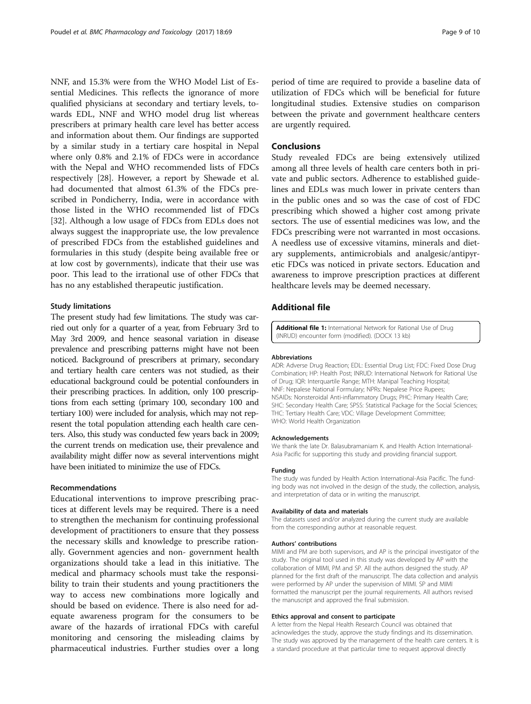<span id="page-8-0"></span>NNF, and 15.3% were from the WHO Model List of Essential Medicines. This reflects the ignorance of more qualified physicians at secondary and tertiary levels, towards EDL, NNF and WHO model drug list whereas prescribers at primary health care level has better access and information about them. Our findings are supported by a similar study in a tertiary care hospital in Nepal where only 0.8% and 2.1% of FDCs were in accordance with the Nepal and WHO recommended lists of FDCs respectively [\[28](#page-9-0)]. However, a report by Shewade et al. had documented that almost 61.3% of the FDCs prescribed in Pondicherry, India, were in accordance with those listed in the WHO recommended list of FDCs [[32\]](#page-9-0). Although a low usage of FDCs from EDLs does not always suggest the inappropriate use, the low prevalence of prescribed FDCs from the established guidelines and formularies in this study (despite being available free or at low cost by governments), indicate that their use was poor. This lead to the irrational use of other FDCs that has no any established therapeutic justification.

#### Study limitations

The present study had few limitations. The study was carried out only for a quarter of a year, from February 3rd to May 3rd 2009, and hence seasonal variation in disease prevalence and prescribing patterns might have not been noticed. Background of prescribers at primary, secondary and tertiary health care centers was not studied, as their educational background could be potential confounders in their prescribing practices. In addition, only 100 prescriptions from each setting (primary 100, secondary 100 and tertiary 100) were included for analysis, which may not represent the total population attending each health care centers. Also, this study was conducted few years back in 2009; the current trends on medication use, their prevalence and availability might differ now as several interventions might have been initiated to minimize the use of FDCs.

#### Recommendations

Educational interventions to improve prescribing practices at different levels may be required. There is a need to strengthen the mechanism for continuing professional development of practitioners to ensure that they possess the necessary skills and knowledge to prescribe rationally. Government agencies and non- government health organizations should take a lead in this initiative. The medical and pharmacy schools must take the responsibility to train their students and young practitioners the way to access new combinations more logically and should be based on evidence. There is also need for adequate awareness program for the consumers to be aware of the hazards of irrational FDCs with careful monitoring and censoring the misleading claims by pharmaceutical industries. Further studies over a long

period of time are required to provide a baseline data of utilization of FDCs which will be beneficial for future longitudinal studies. Extensive studies on comparison between the private and government healthcare centers are urgently required.

## **Conclusions**

Study revealed FDCs are being extensively utilized among all three levels of health care centers both in private and public sectors. Adherence to established guidelines and EDLs was much lower in private centers than in the public ones and so was the case of cost of FDC prescribing which showed a higher cost among private sectors. The use of essential medicines was low, and the FDCs prescribing were not warranted in most occasions. A needless use of excessive vitamins, minerals and dietary supplements, antimicrobials and analgesic/antipyretic FDCs was noticed in private sectors. Education and awareness to improve prescription practices at different healthcare levels may be deemed necessary.

## Additional file

[Additional file 1:](dx.doi.org/10.1186/s40360-017-0176-z) International Network for Rational Use of Drug (INRUD) encounter form (modified). (DOCX 13 kb)

#### Abbreviations

ADR: Adverse Drug Reaction; EDL: Essential Drug List; FDC: Fixed Dose Drug Combination; HP: Health Post; INRUD: International Network for Rational Use of Drug; IQR: Interquartile Range; MTH: Manipal Teaching Hospital; NNF: Nepalese National Formulary; NPRs: Nepalese Price Rupees; NSAIDs: Nonsteroidal Anti-inflammatory Drugs; PHC: Primary Health Care; SHC: Secondary Health Care; SPSS: Statistical Package for the Social Sciences; THC: Tertiary Health Care; VDC: Village Development Committee; WHO: World Health Organization

#### Acknowledgements

We thank the late Dr. Balasubramaniam K. and Health Action International-Asia Pacific for supporting this study and providing financial support.

#### Funding

The study was funded by Health Action International-Asia Pacific. The funding body was not involved in the design of the study, the collection, analysis, and interpretation of data or in writing the manuscript.

#### Availability of data and materials

The datasets used and/or analyzed during the current study are available from the corresponding author at reasonable request.

#### Authors' contributions

MIMI and PM are both supervisors, and AP is the principal investigator of the study. The original tool used in this study was developed by AP with the collaboration of MIMI, PM and SP. All the authors designed the study. AP planned for the first draft of the manuscript. The data collection and analysis were performed by AP under the supervision of MIMI. SP and MIMI formatted the manuscript per the journal requirements. All authors revised the manuscript and approved the final submission.

#### Ethics approval and consent to participate

A letter from the Nepal Health Research Council was obtained that acknowledges the study, approve the study findings and its dissemination. The study was approved by the management of the health care centers. It is a standard procedure at that particular time to request approval directly